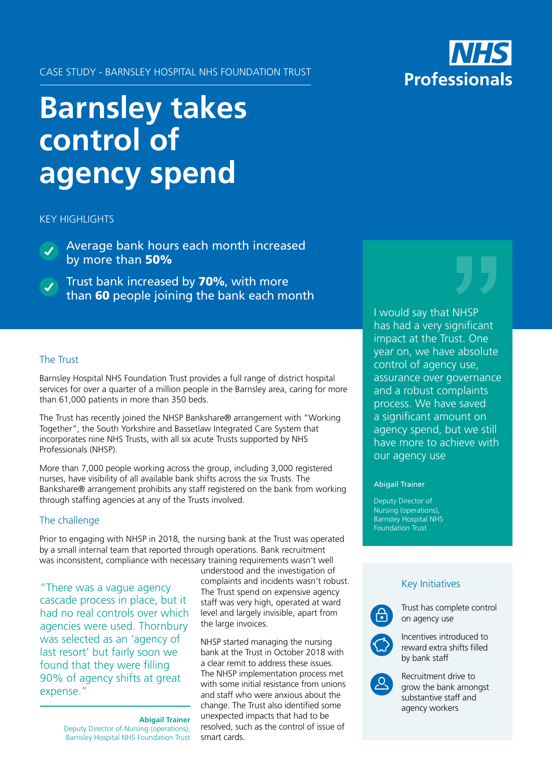## CASE STUDY - BARNSLEY HOSPITAL NHS FOUNDATION TRUST

# **Barnsley takes control of agency spend**

**KEY HIGHLIGHTS** 

Average bank hours each month increased by more than 50%

Trust bank increased by 70%, with more than 60 people joining the bank each month

## The Trust

Barnsley Hospital NHS Foundation Trust provides a full range of district hospital services for over a quarter of a million people in the Barnsley area, caring for more than 61,000 patients in more than 350 beds.

The Trust has recently joined the NHSP Bankshare® arrangement with "Working Together", the South Yorkshire and Bassetlaw Integrated Care System that incorporates nine NHS Trusts, with all six acute Trusts supported by NHS Professionals (NHSP).

More than 7,000 people working across the group, including 3,000 registered nurses, have visibility of all available bank shifts across the six Trusts. The Bankshare® arrangement prohibits any staff registered on the bank from working through staffing agencies at any of the Trusts involved.

## The challenge

Prior to engaging with NHSP in 2018, the nursing bank at the Trust was operated by a small internal team that reported through operations. Bank recruitment was inconsistent, compliance with necessary training requirements wasn't well

"There was a vague agency cascade process in place, but it had no real controls over which agencies were used. Thornbury was selected as an 'agency of last resort' but fairly soon we found that they were filling 90% of agency shifts at great expense."

> **Abigail Trainer** Deputy Director of Nursing (operations), Barnsley Hospital NHS Foundation Trust

understood and the investigation of complaints and incidents wasn't robust. The Trust spend on expensive agency staff was very high, operated at ward level and largely invisible, apart from the large invoices.

NHSP started managing the nursing bank at the Trust in October 2018 with a clear remit to address these issues. The NHSP implementation process met with some initial resistance from unions and staff who were anxious about the change. The Trust also identified some unexpected impacts that had to be resolved, such as the control of issue of smart cards.



I would say that NHSP has had a very significant impact at the Trust. One year on, we have absolute control of agency use, assurance over governance and a robust complaints process. We have saved a significant amount on agency spend, but we still have more to achieve with our agency use

#### Abigail Trainer

Deputy Director of Nursing (operations), Barnsley Hospital NHS Foundation Trust

# Key Initiatives



Trust has complete control on agency use



Incentives introduced to reward extra shifts filled by bank staff



Recruitment drive to grow the bank amongst substantive staff and agency workers